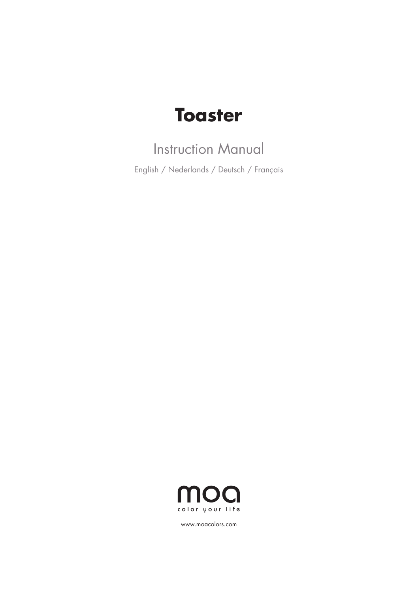# **Toaster**

## Instruction Manual

English / Nederlands / Deutsch / Français



www.moacolors.com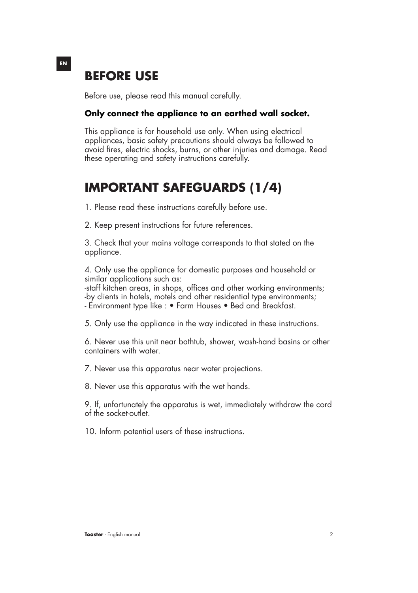### **BEFORE USE**

Before use, please read this manual carefully.

#### **Only connect the appliance to an earthed wall socket.**

This appliance is for household use only. When using electrical appliances, basic safety precautions should always be followed to avoid fires, electric shocks, burns, or other injuries and damage. Read these operating and safety instructions carefully.

### **IMPORTANT SAFEGUARDS (1/4)**

1. Please read these instructions carefully before use.

2. Keep present instructions for future references.

3. Check that your mains voltage corresponds to that stated on the appliance.

4. Only use the appliance for domestic purposes and household or similar applications such as:

-staff kitchen areas, in shops, offices and other working environments; -by clients in hotels, motels and other residential type environments; - Environment type like : • Farm Houses • Bed and Breakfast.

5. Only use the appliance in the way indicated in these instructions.

6. Never use this unit near bathtub, shower, wash-hand basins or other containers with water.

7. Never use this apparatus near water projections.

8. Never use this apparatus with the wet hands.

9. If, unfortunately the apparatus is wet, immediately withdraw the cord of the socket-outlet.

10. Inform potential users of these instructions.

#### **EN**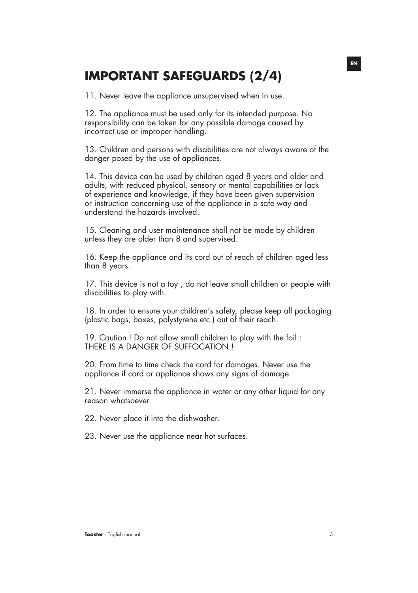### **IMPORTANT SAFEGUARDS (2/4)**

11. Never leave the appliance unsupervised when in use.

12. The appliance must be used only for its intended purpose. No responsibility can be taken for any possible damage caused by incorrect use or improper handling.

13. Children and persons with disabilities are not always aware of the danger posed by the use of appliances.

14. This device can be used by children aged 8 years and older and adults, with reduced physical, sensory or mental capabilities or lack of experience and knowledge, if they have been given supervision or instruction concerning use of the appliance in a safe way and understand the hazards involved.

15. Cleaning and user maintenance shall not be made by children unless they are older than 8 and supervised.

16. Keep the appliance and its cord out of reach of children aged less than 8 years.

17. This device is not a toy , do not leave small children or people with disabilities to play with.

18. In order to ensure your children's safety, please keep all packaging (plastic bags, boxes, polystyrene etc.) out of their reach.

19. Caution ! Do not allow small children to play with the foil : THERE IS A DANGER OF SUFFOCATION !

20. From time to time check the cord for damages. Never use the appliance if cord or appliance shows any signs of damage.

21. Never immerse the appliance in water or any other liquid for any reason whatsoever.

22. Never place it into the dishwasher.

23. Never use the appliance near hot surfaces.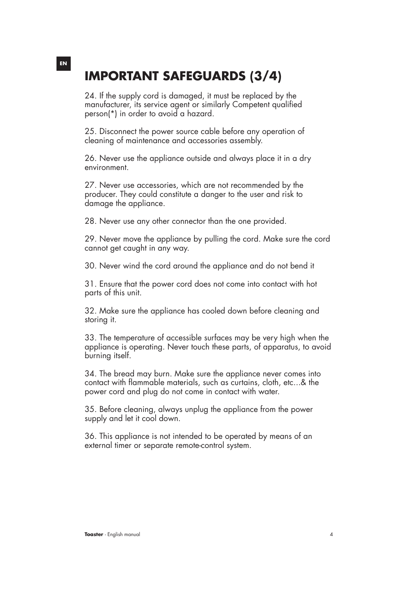## **IMPORTANT SAFEGUARDS (3/4)**

24. If the supply cord is damaged, it must be replaced by the manufacturer, its service agent or similarly Competent qualified person(\*) in order to avoid a hazard.

25. Disconnect the power source cable before any operation of cleaning of maintenance and accessories assembly.

26. Never use the appliance outside and always place it in a dry environment.

27. Never use accessories, which are not recommended by the producer. They could constitute a danger to the user and risk to damage the appliance.

28. Never use any other connector than the one provided.

29. Never move the appliance by pulling the cord. Make sure the cord cannot get caught in any way.

30. Never wind the cord around the appliance and do not bend it

31. Ensure that the power cord does not come into contact with hot parts of this unit.

32. Make sure the appliance has cooled down before cleaning and storing it.

33. The temperature of accessible surfaces may be very high when the appliance is operating. Never touch these parts, of apparatus, to avoid burning itself.

34. The bread may burn. Make sure the appliance never comes into contact with flammable materials, such as curtains, cloth, etc...& the power cord and plug do not come in contact with water.

35. Before cleaning, always unplug the appliance from the power supply and let it cool down.

36. This appliance is not intended to be operated by means of an external timer or separate remote-control system.

**EN**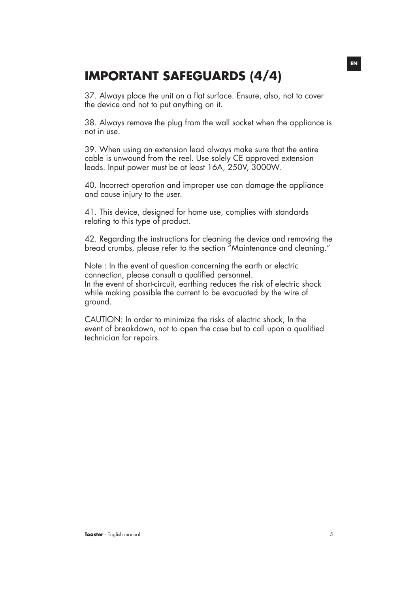### **IMPORTANT SAFEGUARDS (4/4)**

37. Always place the unit on a flat surface. Ensure, also, not to cover the device and not to put anything on it.

38. Always remove the plug from the wall socket when the appliance is not in use.

39. When using an extension lead always make sure that the entire cable is unwound from the reel. Use solely CE approved extension leads. Input power must be at least 16A, 250V, 3000W.

40. Incorrect operation and improper use can damage the appliance and cause injury to the user.

41. This device, designed for home use, complies with standards relating to this type of product.

42. Regarding the instructions for cleaning the device and removing the bread crumbs, please refer to the section "Maintenance and cleaning."

Note : In the event of question concerning the earth or electric connection, please consult a qualified personnel. In the event of short-circuit, earthing reduces the risk of electric shock while making possible the current to be evacuated by the wire of ground.

CAUTION: In order to minimize the risks of electric shock, In the event of breakdown, not to open the case but to call upon a qualified technician for repairs.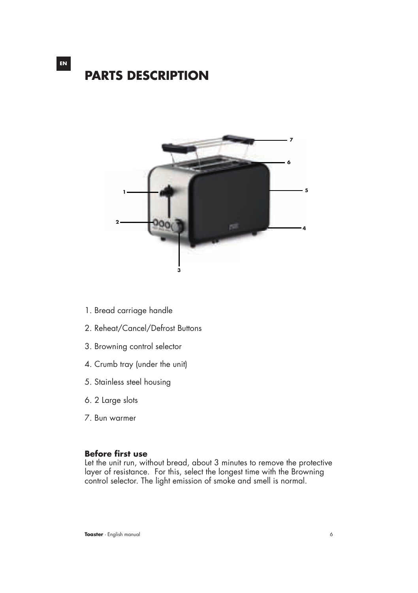# **PARTS DESCRIPTION**

**EN**



- 1. Bread carriage handle
- 2. Reheat/Cancel/Defrost Buttons
- 3. Browning control selector
- 4. Crumb tray (under the unit)
- 5. Stainless steel housing
- 6. 2 Large slots
- 7. Bun warmer

#### **Before first use**

Let the unit run, without bread, about 3 minutes to remove the protective layer of resistance. For this, select the longest time with the Browning control selector. The light emission of smoke and smell is normal.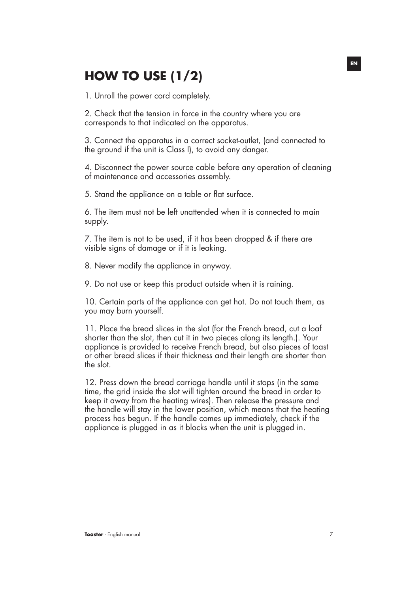## **HOW TO USE (1/2)**

1. Unroll the power cord completely.

2. Check that the tension in force in the country where you are corresponds to that indicated on the apparatus.

3. Connect the apparatus in a correct socket-outlet, (and connected to the ground if the unit is Class I), to avoid any danger.

4. Disconnect the power source cable before any operation of cleaning of maintenance and accessories assembly.

5. Stand the appliance on a table or flat surface.

6. The item must not be left unattended when it is connected to main supply.

7. The item is not to be used, if it has been dropped & if there are visible signs of damage or if it is leaking.

8. Never modify the appliance in anyway.

9. Do not use or keep this product outside when it is raining.

10. Certain parts of the appliance can get hot. Do not touch them, as you may burn yourself.

11. Place the bread slices in the slot (for the French bread, cut a loaf shorter than the slot, then cut it in two pieces along its length.). Your appliance is provided to receive French bread, but also pieces of toast or other bread slices if their thickness and their length are shorter than the slot.

12. Press down the bread carriage handle until it stops (in the same time, the grid inside the slot will tighten around the bread in order to keep it away from the heating wires). Then release the pressure and the handle will stay in the lower position, which means that the heating process has begun. If the handle comes up immediately, check if the appliance is plugged in as it blocks when the unit is plugged in.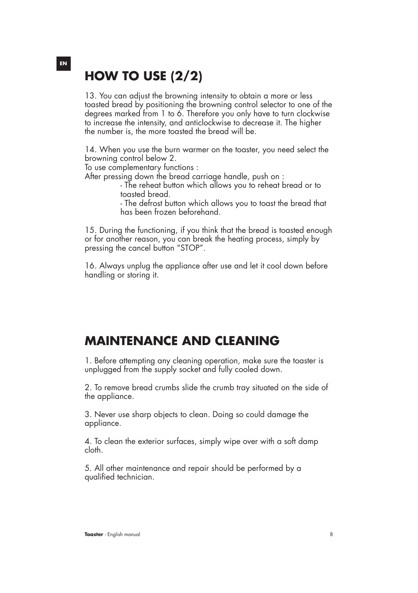## **HOW TO USE (2/2)**

13. You can adjust the browning intensity to obtain a more or less toasted bread by positioning the browning control selector to one of the degrees marked from 1 to 6. Therefore you only have to turn clockwise to increase the intensity, and anticlockwise to decrease it. The higher the number is, the more toasted the bread will be.

14. When you use the burn warmer on the toaster, you need select the browning control below 2.

To use complementary functions :

After pressing down the bread carriage handle, push on :

 - The reheat button which allows you to reheat bread or to toasted bread.

 - The defrost button which allows you to toast the bread that has been frozen beforehand.

15. During the functioning, if you think that the bread is toasted enough or for another reason, you can break the heating process, simply by pressing the cancel button "STOP".

16. Always unplug the appliance after use and let it cool down before handling or storing it.

### **MAINTENANCE AND CLEANING**

1. Before attempting any cleaning operation, make sure the toaster is unplugged from the supply socket and fully cooled down.

2. To remove bread crumbs slide the crumb tray situated on the side of the appliance.

3. Never use sharp objects to clean. Doing so could damage the appliance.

4. To clean the exterior surfaces, simply wipe over with a soft damp cloth.

5. All other maintenance and repair should be performed by a qualified technician.

#### **EN**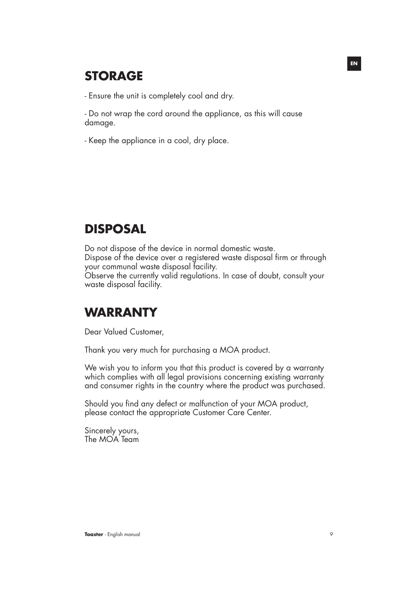### **STORAGE**

- Ensure the unit is completely cool and dry.

- Do not wrap the cord around the appliance, as this will cause damage.

- Keep the appliance in a cool, dry place.

### **DISPOSAL**

Do not dispose of the device in normal domestic waste. Dispose of the device over a registered waste disposal firm or through your communal waste disposal facility. Observe the currently valid regulations. In case of doubt, consult your waste disposal facility.

### **WARRANTY**

Dear Valued Customer,

Thank you very much for purchasing a MOA product.

We wish you to inform you that this product is covered by a warranty which complies with all legal provisions concerning existing warranty and consumer rights in the country where the product was purchased.

Should you find any defect or malfunction of your MOA product, please contact the appropriate Customer Care Center.

Sincerely yours, The MOA Team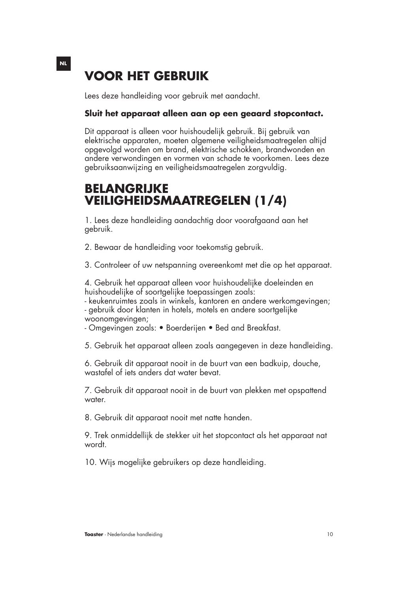## **VOOR HET GEBRUIK**

Lees deze handleiding voor gebruik met aandacht.

#### **Sluit het apparaat alleen aan op een geaard stopcontact.**

Dit apparaat is alleen voor huishoudelijk gebruik. Bij gebruik van elektrische apparaten, moeten algemene veiligheidsmaatregelen altijd opgevolgd worden om brand, elektrische schokken, brandwonden en andere verwondingen en vormen van schade te voorkomen. Lees deze gebruiksaanwijzing en veiligheidsmaatregelen zorgvuldig.

### **BELANGRIJKE VEILIGHEIDSMAATREGELEN (1/4)**

1. Lees deze handleiding aandachtig door voorafgaand aan het gebruik.

2. Bewaar de handleiding voor toekomstig gebruik.

3. Controleer of uw netspanning overeenkomt met die op het apparaat.

4. Gebruik het apparaat alleen voor huishoudelijke doeleinden en huishoudelijke of soortgelijke toepassingen zoals:

- keukenruimtes zoals in winkels, kantoren en andere werkomgevingen; - gebruik door klanten in hotels, motels en andere soortgelijke woonomgevingen;

- Omgevingen zoals: • Boerderijen • Bed and Breakfast.

5. Gebruik het apparaat alleen zoals aangegeven in deze handleiding.

6. Gebruik dit apparaat nooit in de buurt van een badkuip, douche, wastafel of iets anders dat water bevat.

7. Gebruik dit apparaat nooit in de buurt van plekken met opspattend water.

8. Gebruik dit apparaat nooit met natte handen.

9. Trek onmiddellijk de stekker uit het stopcontact als het apparaat nat wordt.

10. Wijs mogelijke gebruikers op deze handleiding.

**Toaster** - Nederlandse handleiding 10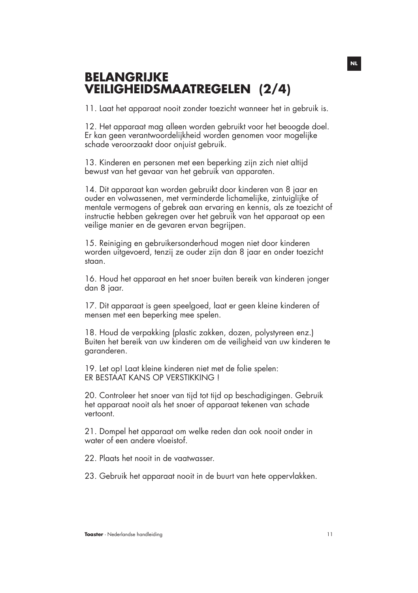### **BELANGRIJKE VEILIGHEIDSMAATREGELEN (2/4)**

11. Laat het apparaat nooit zonder toezicht wanneer het in gebruik is.

12. Het apparaat mag alleen worden gebruikt voor het beoogde doel. Er kan geen verantwoordelijkheid worden genomen voor mogelijke schade veroorzaakt door onjuist gebruik.

13. Kinderen en personen met een beperking zijn zich niet altijd bewust van het gevaar van het gebruik van apparaten.

14. Dit apparaat kan worden gebruikt door kinderen van 8 jaar en ouder en volwassenen, met verminderde lichamelijke, zintuiglijke of mentale vermogens of gebrek aan ervaring en kennis, als ze toezicht of instructie hebben gekregen over het gebruik van het apparaat op een veilige manier en de gevaren ervan begrijpen.

15. Reiniging en gebruikersonderhoud mogen niet door kinderen worden uitgevoerd, tenzij ze ouder zijn dan 8 jaar en onder toezicht staan.

16. Houd het apparaat en het snoer buiten bereik van kinderen jonger dan 8 jaar.

17. Dit apparaat is geen speelgoed, laat er geen kleine kinderen of mensen met een beperking mee spelen.

18. Houd de verpakking (plastic zakken, dozen, polystyreen enz.) Buiten het bereik van uw kinderen om de veiligheid van uw kinderen te garanderen.

19. Let op! Laat kleine kinderen niet met de folie spelen: ER BESTAAT KANS OP VERSTIKKING !

20. Controleer het snoer van tijd tot tijd op beschadigingen. Gebruik het apparaat nooit als het snoer of apparaat tekenen van schade vertoont.

21. Dompel het apparaat om welke reden dan ook nooit onder in water of een andere vloeistof.

22. Plaats het nooit in de vaatwasser.

23. Gebruik het apparaat nooit in de buurt van hete oppervlakken.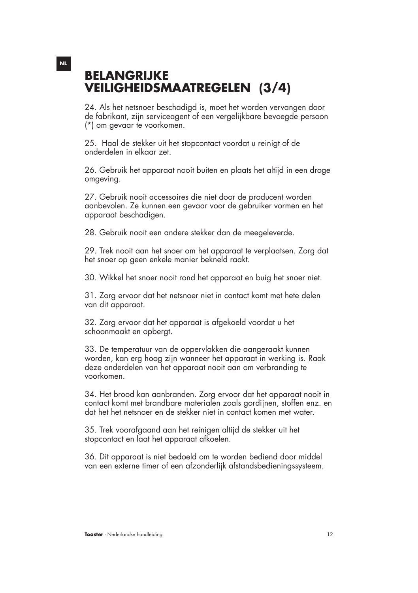### **BELANGRIJKE VEILIGHEIDSMAATREGELEN (3/4)**

24. Als het netsnoer beschadigd is, moet het worden vervangen door de fabrikant, zijn serviceagent of een vergelijkbare bevoegde persoon (\*) om gevaar te voorkomen.

25. Haal de stekker uit het stopcontact voordat u reinigt of de onderdelen in elkaar zet.

26. Gebruik het apparaat nooit buiten en plaats het altijd in een droge omgeving.

27. Gebruik nooit accessoires die niet door de producent worden aanbevolen. Ze kunnen een gevaar voor de gebruiker vormen en het apparaat beschadigen.

28. Gebruik nooit een andere stekker dan de meegeleverde.

29. Trek nooit aan het snoer om het apparaat te verplaatsen. Zorg dat het snoer op geen enkele manier bekneld raakt.

30. Wikkel het snoer nooit rond het apparaat en buig het snoer niet.

31. Zorg ervoor dat het netsnoer niet in contact komt met hete delen van dit apparaat.

32. Zorg ervoor dat het apparaat is afgekoeld voordat u het schoonmaakt en opbergt.

33. De temperatuur van de oppervlakken die aangeraakt kunnen worden, kan erg hoog zijn wanneer het apparaat in werking is. Raak deze onderdelen van het apparaat nooit aan om verbranding te voorkomen.

34. Het brood kan aanbranden. Zorg ervoor dat het apparaat nooit in contact komt met brandbare materialen zoals gordijnen, stoffen enz. en dat het het netsnoer en de stekker niet in contact komen met water.

35. Trek voorafgaand aan het reinigen altijd de stekker uit het stopcontact en laat het apparaat afkoelen.

36. Dit apparaat is niet bedoeld om te worden bediend door middel van een externe timer of een afzonderlijk afstandsbedieningssysteem.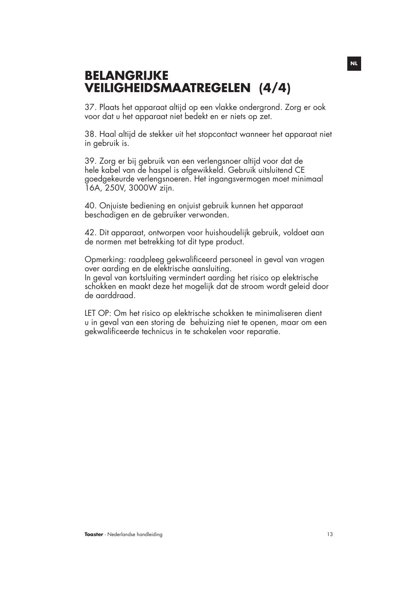### **BELANGRIJKE VEILIGHEIDSMAATREGELEN (4/4)**

37. Plaats het apparaat altijd op een vlakke ondergrond. Zorg er ook voor dat u het apparaat niet bedekt en er niets op zet.

38. Haal altijd de stekker uit het stopcontact wanneer het apparaat niet in gebruik is.

39. Zorg er bij gebruik van een verlengsnoer altijd voor dat de hele kabel van de haspel is afgewikkeld. Gebruik uitsluitend CE goedgekeurde verlengsnoeren. Het ingangsvermogen moet minimaal 16A, 250V, 3000W zijn.

40. Onjuiste bediening en onjuist gebruik kunnen het apparaat beschadigen en de gebruiker verwonden.

42. Dit apparaat, ontworpen voor huishoudelijk gebruik, voldoet aan de normen met betrekking tot dit type product.

Opmerking: raadpleeg gekwalificeerd personeel in geval van vragen over aarding en de elektrische aansluiting. In geval van kortsluiting vermindert aarding het risico op elektrische schokken en maakt deze het mogelijk dat de stroom wordt geleid door de aarddraad.

LET OP: Om het risico op elektrische schokken te minimaliseren dient u in geval van een storing de behuizing niet te openen, maar om een gekwalificeerde technicus in te schakelen voor reparatie.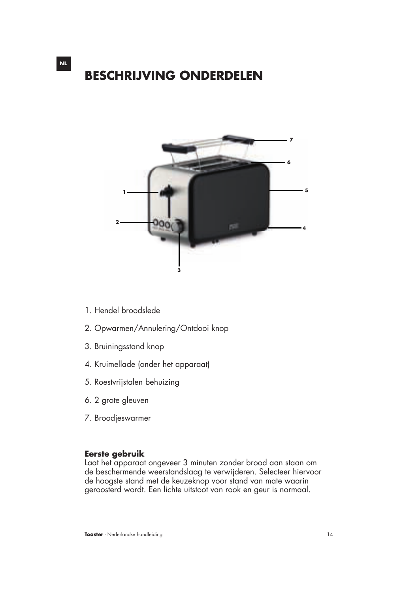### **BESCHRIJVING ONDERDELEN**



- 1. Hendel broodslede
- 2. Opwarmen/Annulering/Ontdooi knop
- 3. Bruiningsstand knop
- 4. Kruimellade (onder het apparaat)
- 5. Roestvrijstalen behuizing
- 6. 2 grote gleuven
- 7. Broodjeswarmer

#### **Eerste gebruik**

Laat het apparaat ongeveer 3 minuten zonder brood aan staan om de beschermende weerstandslaag te verwijderen. Selecteer hiervoor de hoogste stand met de keuzeknop voor stand van mate waarin geroosterd wordt. Een lichte uitstoot van rook en geur is normaal.

**NL**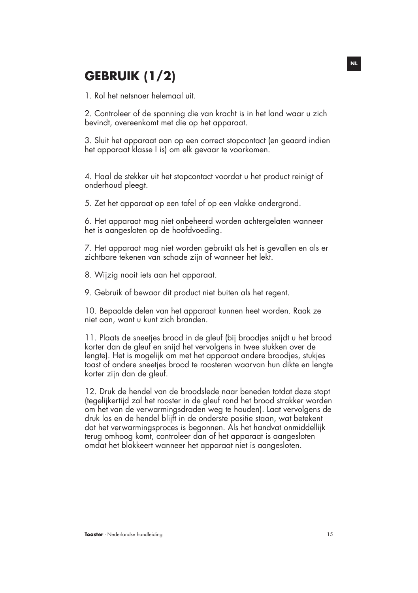## **GEBRUIK (1/2)**

1. Rol het netsnoer helemaal uit.

2. Controleer of de spanning die van kracht is in het land waar u zich bevindt, overeenkomt met die op het apparaat.

3. Sluit het apparaat aan op een correct stopcontact (en geaard indien het apparaat klasse I is) om elk gevaar te voorkomen.

4. Haal de stekker uit het stopcontact voordat u het product reinigt of onderhoud pleegt.

5. Zet het apparaat op een tafel of op een vlakke ondergrond.

6. Het apparaat mag niet onbeheerd worden achtergelaten wanneer het is aangesloten op de hoofdvoeding.

7. Het apparaat mag niet worden gebruikt als het is gevallen en als er zichtbare tekenen van schade zijn of wanneer het lekt.

8. Wijzig nooit iets aan het apparaat.

9. Gebruik of bewaar dit product niet buiten als het regent.

10. Bepaalde delen van het apparaat kunnen heet worden. Raak ze niet aan, want u kunt zich branden.

11. Plaats de sneetjes brood in de gleuf (bij broodjes snijdt u het brood korter dan de gleuf en snijd het vervolgens in twee stukken over de lengte). Het is mogelijk om met het apparaat andere broodjes, stukjes toast of andere sneetjes brood te roosteren waarvan hun dikte en lengte korter zijn dan de gleuf.

12. Druk de hendel van de broodslede naar beneden totdat deze stopt (tegelijkertijd zal het rooster in de gleuf rond het brood strakker worden om het van de verwarmingsdraden weg te houden). Laat vervolgens de druk los en de hendel blijft in de onderste positie staan, wat betekent dat het verwarmingsproces is begonnen. Als het handvat onmiddellijk terug omhoog komt, controleer dan of het apparaat is aangesloten omdat het blokkeert wanneer het apparaat niet is aangesloten.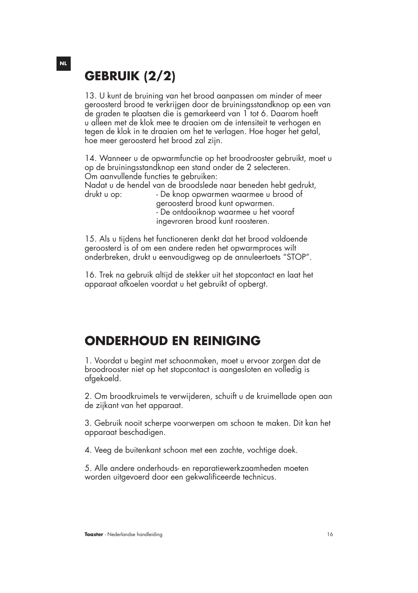## **GEBRUIK (2/2)**

13. U kunt de bruining van het brood aanpassen om minder of meer geroosterd brood te verkrijgen door de bruiningsstandknop op een van de graden te plaatsen die is gemarkeerd van 1 tot 6. Daarom hoeft u alleen met de klok mee te draaien om de intensiteit te verhogen en tegen de klok in te draaien om het te verlagen. Hoe hoger het getal, hoe meer geroosterd het brood zal zijn.

14. Wanneer u de opwarmfunctie op het broodrooster gebruikt, moet u op de bruiningsstandknop een stand onder de 2 selecteren. Om aanvullende functies te gebruiken:

Nadat u de hendel van de broodslede naar beneden hebt gedrukt, drukt u op: - De knop opwarmen waarmee u brood of

 geroosterd brood kunt opwarmen. - De ontdooiknop waarmee u het vooraf ingevroren brood kunt roosteren.

15. Als u tijdens het functioneren denkt dat het brood voldoende geroosterd is of om een andere reden het opwarmproces wilt onderbreken, drukt u eenvoudigweg op de annuleertoets "STOP".

16. Trek na gebruik altijd de stekker uit het stopcontact en laat het apparaat afkoelen voordat u het gebruikt of opbergt.

### **ONDERHOUD EN REINIGING**

1. Voordat u begint met schoonmaken, moet u ervoor zorgen dat de broodrooster niet op het stopcontact is aangesloten en volledig is afgekoeld.

2. Om broodkruimels te verwijderen, schuift u de kruimellade open aan de zijkant van het apparaat.

3. Gebruik nooit scherpe voorwerpen om schoon te maken. Dit kan het apparaat beschadigen.

4. Veeg de buitenkant schoon met een zachte, vochtige doek.

5. Alle andere onderhouds- en reparatiewerkzaamheden moeten worden uitgevoerd door een gekwalificeerde technicus.

#### **NL**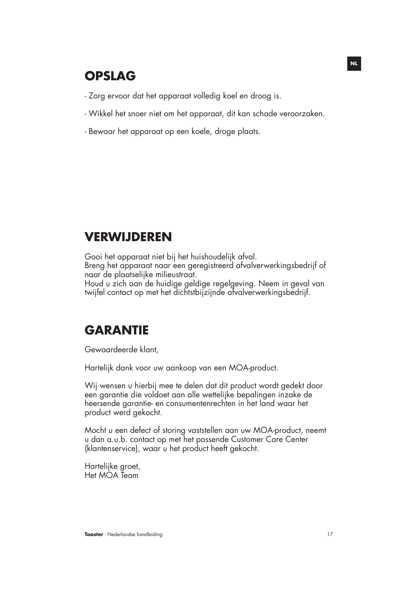### **OPSLAG**

- Zorg ervoor dat het apparaat volledig koel en droog is.
- Wikkel het snoer niet om het apparaat, dit kan schade veroorzaken.
- Bewaar het apparaat op een koele, droge plaats.

### **VERWIJDEREN**

Gooi het apparaat niet bij het huishoudelijk afval. Breng het apparaat naar een geregistreerd afvalverwerkingsbedrijf of naar de plaatselijke milieustraat.

Houd u zich aan de huidige geldige regelgeving. Neem in geval van twijfel contact op met het dichtstbijzijnde afvalverwerkingsbedrijf.

### **GARANTIE**

Gewaardeerde klant,

Hartelijk dank voor uw aankoop van een MOA-product.

Wij wensen u hierbij mee te delen dat dit product wordt gedekt door een garantie die voldoet aan alle wettelijke bepalingen inzake de heersende garantie- en consumentenrechten in het land waar het product werd gekocht.

Mocht u een defect of storing vaststellen aan uw MOA-product, neemt u dan a.u.b. contact op met het passende Customer Care Center (klantenservice), waar u het product heeft gekocht.

Hartelijke groet, Het MOA Team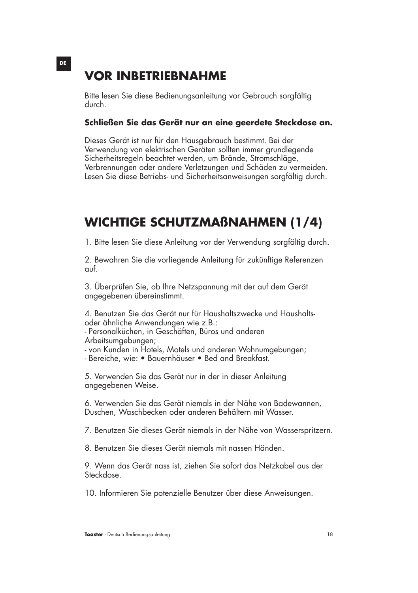### **VOR INBETRIEBNAHME**

Bitte lesen Sie diese Bedienungsanleitung vor Gebrauch sorgfältig durch.

#### **Schließen Sie das Gerät nur an eine geerdete Steckdose an.**

Dieses Gerät ist nur für den Hausgebrauch bestimmt. Bei der Verwendung von elektrischen Geräten sollten immer grundlegende Sicherheitsregeln beachtet werden, um Brände, Stromschläge, Verbrennungen oder andere Verletzungen und Schäden zu vermeiden. Lesen Sie diese Betriebs- und Sicherheitsanweisungen sorgfältig durch.

### **WICHTIGE SCHUTZMAßNAHMEN (1/4)**

1. Bitte lesen Sie diese Anleitung vor der Verwendung sorgfältig durch.

2. Bewahren Sie die vorliegende Anleitung für zukünftige Referenzen auf.

3. Überprüfen Sie, ob Ihre Netzspannung mit der auf dem Gerät angegebenen übereinstimmt.

4. Benutzen Sie das Gerät nur für Haushaltszwecke und Haushaltsoder ähnliche Anwendungen wie z.B.:

- Personalküchen, in Geschäften, Büros und anderen Arbeitsumgebungen;

- von Kunden in Hotels, Motels und anderen Wohnumgebungen;

- Bereiche, wie: • Bauernhäuser • Bed and Breakfast.

5. Verwenden Sie das Gerät nur in der in dieser Anleitung angegebenen Weise.

6. Verwenden Sie das Gerät niemals in der Nähe von Badewannen, Duschen, Waschbecken oder anderen Behältern mit Wasser.

7. Benutzen Sie dieses Gerät niemals in der Nähe von Wasserspritzern.

8. Benutzen Sie dieses Gerät niemals mit nassen Händen.

9. Wenn das Gerät nass ist, ziehen Sie sofort das Netzkabel aus der Steckdose.

10. Informieren Sie potenzielle Benutzer über diese Anweisungen.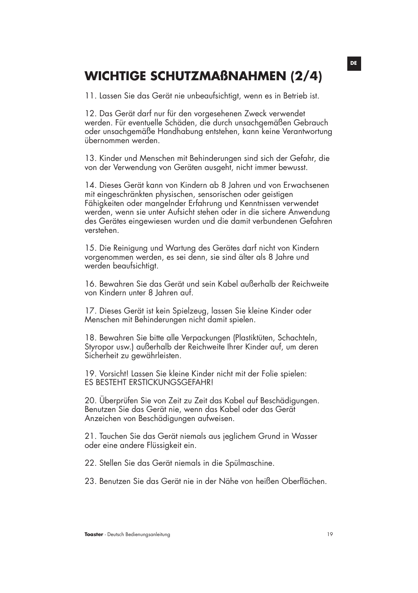### **WICHTIGE SCHUTZMAßNAHMEN (2/4)**

11. Lassen Sie das Gerät nie unbeaufsichtigt, wenn es in Betrieb ist.

12. Das Gerät darf nur für den vorgesehenen Zweck verwendet werden. Für eventuelle Schäden, die durch unsachgemäßen Gebrauch oder unsachgemäße Handhabung entstehen, kann keine Verantwortung übernommen werden.

13. Kinder und Menschen mit Behinderungen sind sich der Gefahr, die von der Verwendung von Geräten ausgeht, nicht immer bewusst.

14. Dieses Gerät kann von Kindern ab 8 Jahren und von Erwachsenen mit eingeschränkten physischen, sensorischen oder geistigen Fähigkeiten oder mangelnder Erfahrung und Kenntnissen verwendet werden, wenn sie unter Aufsicht stehen oder in die sichere Anwendung des Gerätes eingewiesen wurden und die damit verbundenen Gefahren verstehen.

15. Die Reinigung und Wartung des Gerätes darf nicht von Kindern vorgenommen werden, es sei denn, sie sind älter als 8 Jahre und werden beaufsichtigt.

16. Bewahren Sie das Gerät und sein Kabel außerhalb der Reichweite von Kindern unter 8 Jahren auf.

17. Dieses Gerät ist kein Spielzeug, lassen Sie kleine Kinder oder Menschen mit Behinderungen nicht damit spielen.

18. Bewahren Sie bitte alle Verpackungen (Plastiktüten, Schachteln, Styropor usw.) außerhalb der Reichweite Ihrer Kinder auf, um deren Sicherheit zu gewährleisten.

19. Vorsicht! Lassen Sie kleine Kinder nicht mit der Folie spielen: ES BESTEHT ERSTICKUNGSGEFAHR!

20. Überprüfen Sie von Zeit zu Zeit das Kabel auf Beschädigungen. Benutzen Sie das Gerät nie, wenn das Kabel oder das Gerät Anzeichen von Beschädigungen aufweisen.

21. Tauchen Sie das Gerät niemals aus jeglichem Grund in Wasser oder eine andere Flüssigkeit ein.

22. Stellen Sie das Gerät niemals in die Spülmaschine.

23. Benutzen Sie das Gerät nie in der Nähe von heißen Oberflächen.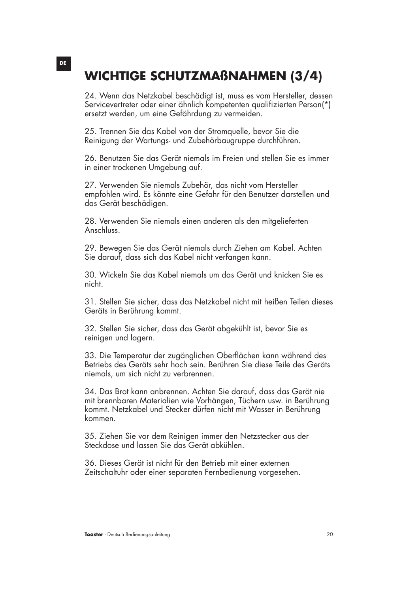## **WICHTIGE SCHUTZMAßNAHMEN (3/4)**

24. Wenn das Netzkabel beschädigt ist, muss es vom Hersteller, dessen Servicevertreter oder einer ähnlich kompetenten qualifizierten Person(\*) ersetzt werden, um eine Gefährdung zu vermeiden.

25. Trennen Sie das Kabel von der Stromquelle, bevor Sie die Reinigung der Wartungs- und Zubehörbaugruppe durchführen.

26. Benutzen Sie das Gerät niemals im Freien und stellen Sie es immer in einer trockenen Umgebung auf.

27. Verwenden Sie niemals Zubehör, das nicht vom Hersteller empfohlen wird. Es könnte eine Gefahr für den Benutzer darstellen und das Gerät beschädigen.

28. Verwenden Sie niemals einen anderen als den mitgelieferten Anschluss.

29. Bewegen Sie das Gerät niemals durch Ziehen am Kabel. Achten Sie darauf, dass sich das Kabel nicht verfangen kann.

30. Wickeln Sie das Kabel niemals um das Gerät und knicken Sie es nicht.

31. Stellen Sie sicher, dass das Netzkabel nicht mit heißen Teilen dieses Geräts in Berührung kommt.

32. Stellen Sie sicher, dass das Gerät abgekühlt ist, bevor Sie es reinigen und lagern.

33. Die Temperatur der zugänglichen Oberflächen kann während des Betriebs des Geräts sehr hoch sein. Berühren Sie diese Teile des Geräts niemals, um sich nicht zu verbrennen.

34. Das Brot kann anbrennen. Achten Sie darauf, dass das Gerät nie mit brennbaren Materialien wie Vorhängen, Tüchern usw. in Berührung kommt. Netzkabel und Stecker dürfen nicht mit Wasser in Berührung kommen.

35. Ziehen Sie vor dem Reinigen immer den Netzstecker aus der Steckdose und lassen Sie das Gerät abkühlen.

36. Dieses Gerät ist nicht für den Betrieb mit einer externen Zeitschaltuhr oder einer separaten Fernbedienung vorgesehen.

**DE**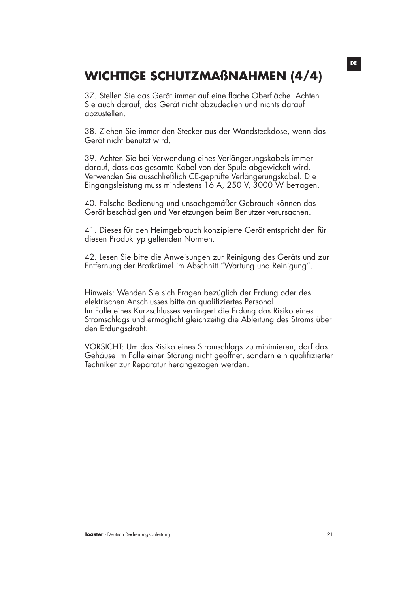### **WICHTIGE SCHUTZMAßNAHMEN (4/4)**

37. Stellen Sie das Gerät immer auf eine flache Oberfläche. Achten Sie auch darauf, das Gerät nicht abzudecken und nichts darauf abzustellen.

38. Ziehen Sie immer den Stecker aus der Wandsteckdose, wenn das Gerät nicht benutzt wird.

39. Achten Sie bei Verwendung eines Verlängerungskabels immer darauf, dass das gesamte Kabel von der Spule abgewickelt wird. Verwenden Sie ausschließlich CE-geprüfte Verlängerungskabel. Die Eingangsleistung muss mindestens 16 A, 250 V, 3000 W betragen.

40. Falsche Bedienung und unsachgemäßer Gebrauch können das Gerät beschädigen und Verletzungen beim Benutzer verursachen.

41. Dieses für den Heimgebrauch konzipierte Gerät entspricht den für diesen Produkttyp geltenden Normen.

42. Lesen Sie bitte die Anweisungen zur Reinigung des Geräts und zur Entfernung der Brotkrümel im Abschnitt "Wartung und Reinigung".

Hinweis: Wenden Sie sich Fragen bezüglich der Erdung oder des elektrischen Anschlusses bitte an qualifiziertes Personal. Im Falle eines Kurzschlusses verringert die Erdung das Risiko eines Stromschlags und ermöglicht gleichzeitig die Ableitung des Stroms über den Erdungsdraht.

VORSICHT: Um das Risiko eines Stromschlags zu minimieren, darf das Gehäuse im Falle einer Störung nicht geöffnet, sondern ein qualifizierter Techniker zur Reparatur herangezogen werden.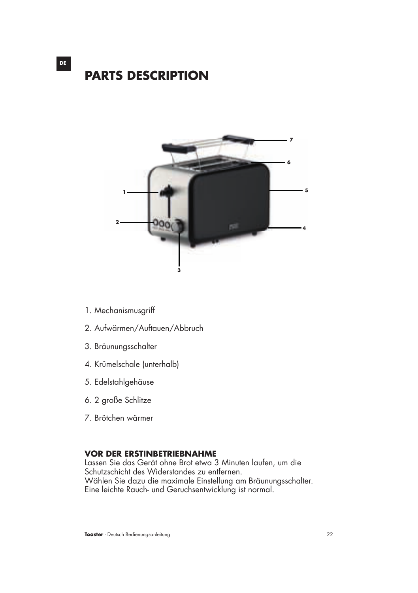



- 1. Mechanismusgriff
- 2. Aufwärmen/Auftauen/Abbruch
- 3. Bräunungsschalter
- 4. Krümelschale (unterhalb)
- 5. Edelstahlgehäuse
- 6. 2 große Schlitze
- 7. Brötchen wärmer

#### **VOR DER ERSTINBETRIEBNAHME**

Lassen Sie das Gerät ohne Brot etwa 3 Minuten laufen, um die Schutzschicht des Widerstandes zu entfernen. Wählen Sie dazu die maximale Einstellung am Bräunungsschalter. Eine leichte Rauch- und Geruchsentwicklung ist normal.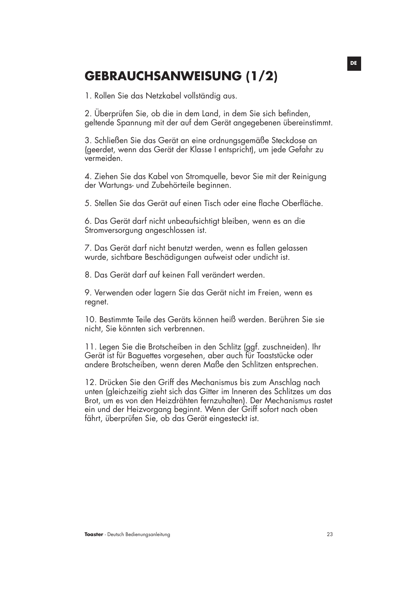### **GEBRAUCHSANWEISUNG (1/2)**

1. Rollen Sie das Netzkabel vollständig aus.

2. Überprüfen Sie, ob die in dem Land, in dem Sie sich befinden, geltende Spannung mit der auf dem Gerät angegebenen übereinstimmt.

3. Schließen Sie das Gerät an eine ordnungsgemäße Steckdose an (geerdet, wenn das Gerät der Klasse I entspricht), um jede Gefahr zu vermeiden.

4. Ziehen Sie das Kabel von Stromquelle, bevor Sie mit der Reinigung der Wartungs- und Zubehörteile beginnen.

5. Stellen Sie das Gerät auf einen Tisch oder eine flache Oberfläche.

6. Das Gerät darf nicht unbeaufsichtigt bleiben, wenn es an die Stromversorgung angeschlossen ist.

7. Das Gerät darf nicht benutzt werden, wenn es fallen gelassen wurde, sichtbare Beschädigungen aufweist oder undicht ist.

8. Das Gerät darf auf keinen Fall verändert werden.

9. Verwenden oder lagern Sie das Gerät nicht im Freien, wenn es regnet.

10. Bestimmte Teile des Geräts können heiß werden. Berühren Sie sie nicht, Sie könnten sich verbrennen.

11. Legen Sie die Brotscheiben in den Schlitz (ggf. zuschneiden). Ihr Gerät ist für Baguettes vorgesehen, aber auch für Toaststücke oder andere Brotscheiben, wenn deren Maße den Schlitzen entsprechen.

12. Drücken Sie den Griff des Mechanismus bis zum Anschlag nach unten (gleichzeitig zieht sich das Gitter im Inneren des Schlitzes um das Brot, um es von den Heizdrähten fernzuhalten). Der Mechanismus rastet ein und der Heizvorgang beginnt. Wenn der Griff sofort nach oben fährt, überprüfen Sie, ob das Gerät eingesteckt ist.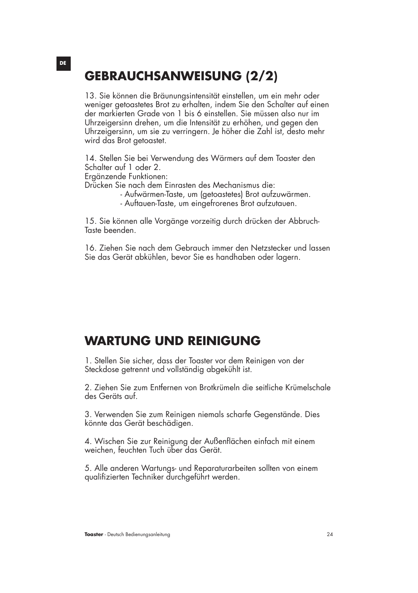### **GEBRAUCHSANWEISUNG (2/2)**

13. Sie können die Bräunungsintensität einstellen, um ein mehr oder weniger getoastetes Brot zu erhalten, indem Sie den Schalter auf einen der markierten Grade von 1 bis 6 einstellen. Sie müssen also nur im Uhrzeigersinn drehen, um die Intensität zu erhöhen, und gegen den Uhrzeigersinn, um sie zu verringern. Je höher die Zahl ist, desto mehr wird das Brot getoastet.

14. Stellen Sie bei Verwendung des Wärmers auf dem Toaster den Schalter auf 1 oder 2.

Ergänzende Funktionen:

Drücken Sie nach dem Einrasten des Mechanismus die:

- Aufwärmen-Taste, um (getoastetes) Brot aufzuwärmen.
	- Auftauen-Taste, um eingefrorenes Brot aufzutauen.

15. Sie können alle Vorgänge vorzeitig durch drücken der Abbruch-Taste beenden.

16. Ziehen Sie nach dem Gebrauch immer den Netzstecker und lassen Sie das Gerät abkühlen, bevor Sie es handhaben oder lagern.

### **WARTUNG UND REINIGUNG**

1. Stellen Sie sicher, dass der Toaster vor dem Reinigen von der Steckdose getrennt und vollständig abgekühlt ist.

2. Ziehen Sie zum Entfernen von Brotkrümeln die seitliche Krümelschale des Geräts auf.

3. Verwenden Sie zum Reinigen niemals scharfe Gegenstände. Dies könnte das Gerät beschädigen.

4. Wischen Sie zur Reinigung der Außenflächen einfach mit einem weichen, feuchten Tuch über das Gerät.

5. Alle anderen Wartungs- und Reparaturarbeiten sollten von einem qualifizierten Techniker durchgeführt werden.

#### **DE**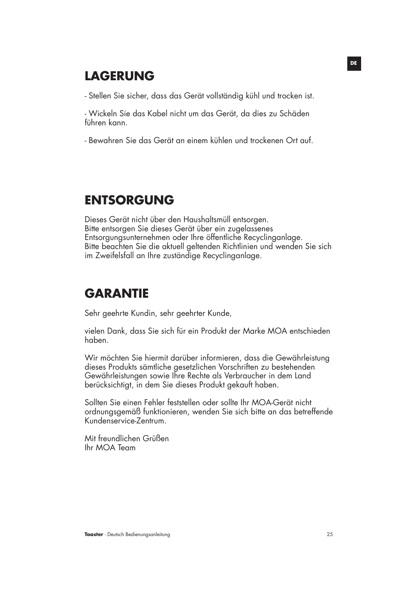### **LAGERUNG**

- Stellen Sie sicher, dass das Gerät vollständig kühl und trocken ist.

- Wickeln Sie das Kabel nicht um das Gerät, da dies zu Schäden führen kann.

- Bewahren Sie das Gerät an einem kühlen und trockenen Ort auf.

### **ENTSORGUNG**

Dieses Gerät nicht über den Haushaltsmüll entsorgen. Bitte entsorgen Sie dieses Gerät über ein zugelassenes Entsorgungsunternehmen oder Ihre öffentliche Recyclinganlage. Bitte beachten Sie die aktuell geltenden Richtlinien und wenden Sie sich im Zweifelsfall an Ihre zuständige Recyclinganlage.

### **GARANTIE**

Sehr geehrte Kundin, sehr geehrter Kunde,

vielen Dank, dass Sie sich für ein Produkt der Marke MOA entschieden haben.

Wir möchten Sie hiermit darüber informieren, dass die Gewährleistung dieses Produkts sämtliche gesetzlichen Vorschriften zu bestehenden Gewährleistungen sowie Ihre Rechte als Verbraucher in dem Land berücksichtigt, in dem Sie dieses Produkt gekauft haben.

Sollten Sie einen Fehler feststellen oder sollte Ihr MOA-Gerät nicht ordnungsgemäß funktionieren, wenden Sie sich bitte an das betreffende Kundenservice-Zentrum.

Mit freundlichen Grüßen Ihr MOA Team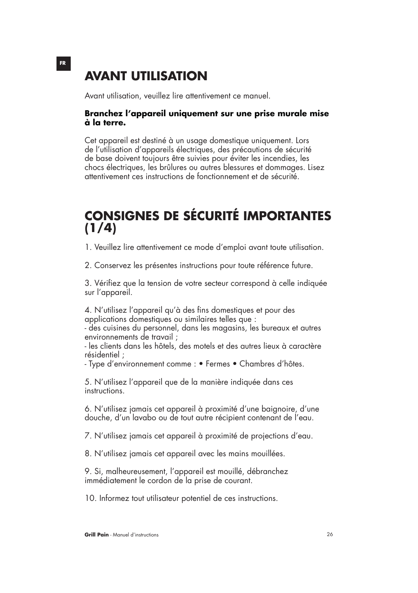### **AVANT UTILISATION**

Avant utilisation, veuillez lire attentivement ce manuel.

#### **Branchez l'appareil uniquement sur une prise murale mise à la terre.**

Cet appareil est destiné à un usage domestique uniquement. Lors de l'utilisation d'appareils électriques, des précautions de sécurité de base doivent toujours être suivies pour éviter les incendies, les chocs électriques, les brûlures ou autres blessures et dommages. Lisez attentivement ces instructions de fonctionnement et de sécurité.

### **CONSIGNES DE SÉCURITÉ IMPORTANTES (1/4)**

1. Veuillez lire attentivement ce mode d'emploi avant toute utilisation.

2. Conservez les présentes instructions pour toute référence future.

3. Vérifiez que la tension de votre secteur correspond à celle indiquée sur l'appareil.

4. N'utilisez l'appareil qu'à des fins domestiques et pour des applications domestiques ou similaires telles que :

- des cuisines du personnel, dans les magasins, les bureaux et autres environnements de travail ;

- les clients dans les hôtels, des motels et des autres lieux à caractère résidentiel ;

- Type d'environnement comme : • Fermes • Chambres d'hôtes.

5. N'utilisez l'appareil que de la manière indiquée dans ces instructions.

6. N'utilisez jamais cet appareil à proximité d'une baignoire, d'une douche, d'un lavabo ou de tout autre récipient contenant de l'eau.

7. N'utilisez jamais cet appareil à proximité de projections d'eau.

8. N'utilisez jamais cet appareil avec les mains mouillées.

9. Si, malheureusement, l'appareil est mouillé, débranchez immédiatement le cordon de la prise de courant.

10. Informez tout utilisateur potentiel de ces instructions.

**Grill Pain** - Manuel d'instructions 26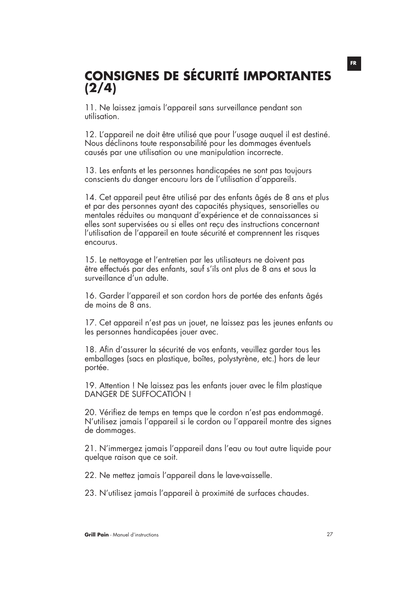## **CONSIGNES DE SÉCURITÉ IMPORTANTES (2/4)**

11. Ne laissez jamais l'appareil sans surveillance pendant son utilisation.

12. L'appareil ne doit être utilisé que pour l'usage auquel il est destiné. Nous déclinons toute responsabilité pour les dommages éventuels causés par une utilisation ou une manipulation incorrecte.

13. Les enfants et les personnes handicapées ne sont pas toujours conscients du danger encouru lors de l'utilisation d'appareils.

14. Cet appareil peut être utilisé par des enfants âgés de 8 ans et plus et par des personnes ayant des capacités physiques, sensorielles ou mentales réduites ou manquant d'expérience et de connaissances si elles sont supervisées ou si elles ont reçu des instructions concernant l'utilisation de l'appareil en toute sécurité et comprennent les risques encourus.

15. Le nettoyage et l'entretien par les utilisateurs ne doivent pas être effectués par des enfants, sauf s'ils ont plus de 8 ans et sous la surveillance d'un adulte.

16. Garder l'appareil et son cordon hors de portée des enfants âgés de moins de 8 ans.

17. Cet appareil n'est pas un jouet, ne laissez pas les jeunes enfants ou les personnes handicapées jouer avec.

18. Afin d'assurer la sécurité de vos enfants, veuillez garder tous les emballages (sacs en plastique, boîtes, polystyrène, etc.) hors de leur portée.

19. Attention ! Ne laissez pas les enfants jouer avec le film plastique DANGER DE SUFFOCATION !

20. Vérifiez de temps en temps que le cordon n'est pas endommagé. N'utilisez jamais l'appareil si le cordon ou l'appareil montre des signes de dommages.

21. N'immergez jamais l'appareil dans l'eau ou tout autre liquide pour quelque raison que ce soit.

22. Ne mettez jamais l'appareil dans le lave-vaisselle.

23. N'utilisez jamais l'appareil à proximité de surfaces chaudes.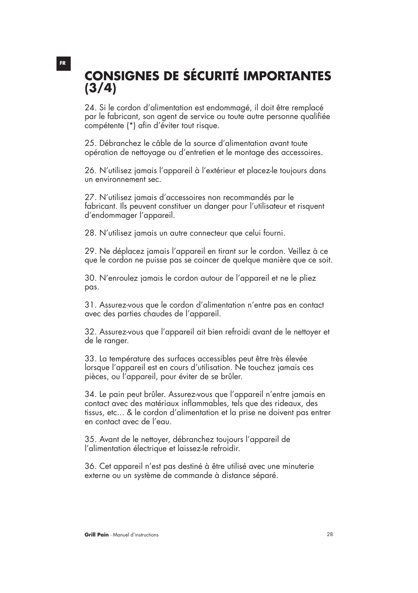### **CONSIGNES DE SÉCURITÉ IMPORTANTES (3/4)**

24. Si le cordon d'alimentation est endommagé, il doit être remplacé par le fabricant, son agent de service ou toute autre personne qualifiée compétente (\*) afin d'éviter tout risque.

25. Débranchez le câble de la source d'alimentation avant toute opération de nettoyage ou d'entretien et le montage des accessoires.

26. N'utilisez jamais l'appareil à l'extérieur et placez-le toujours dans un environnement sec.

27. N'utilisez jamais d'accessoires non recommandés par le fabricant. Ils peuvent constituer un danger pour l'utilisateur et risquent d'endommager l'appareil.

28. N'utilisez jamais un autre connecteur que celui fourni.

29. Ne déplacez jamais l'appareil en tirant sur le cordon. Veillez à ce que le cordon ne puisse pas se coincer de quelque manière que ce soit.

30. N'enroulez jamais le cordon autour de l'appareil et ne le pliez pas.

31. Assurez-vous que le cordon d'alimentation n'entre pas en contact avec des parties chaudes de l'appareil.

32. Assurez-vous que l'appareil ait bien refroidi avant de le nettoyer et de le ranger.

33. La température des surfaces accessibles peut être très élevée lorsque l'appareil est en cours d'utilisation. Ne touchez jamais ces pièces, ou l'appareil, pour éviter de se brûler.

34. Le pain peut brûler. Assurez-vous que l'appareil n'entre jamais en contact avec des matériaux inflammables, tels que des rideaux, des tissus, etc... & le cordon d'alimentation et la prise ne doivent pas entrer en contact avec de l'eau.

35. Avant de le nettoyer, débranchez toujours l'appareil de l'alimentation électrique et laissez-le refroidir.

36. Cet appareil n'est pas destiné à être utilisé avec une minuterie externe ou un système de commande à distance séparé.

#### **FR**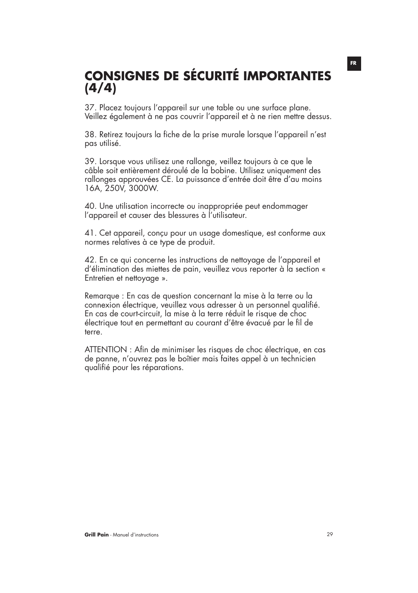### **CONSIGNES DE SÉCURITÉ IMPORTANTES (4/4)**

37. Placez toujours l'appareil sur une table ou une surface plane. Veillez également à ne pas couvrir l'appareil et à ne rien mettre dessus.

38. Retirez toujours la fiche de la prise murale lorsque l'appareil n'est pas utilisé.

39. Lorsque vous utilisez une rallonge, veillez toujours à ce que le câble soit entièrement déroulé de la bobine. Utilisez uniquement des rallonges approuvées CE. La puissance d'entrée doit être d'au moins 16A, 250V, 3000W.

40. Une utilisation incorrecte ou inappropriée peut endommager l'appareil et causer des blessures à l'utilisateur.

41. Cet appareil, conçu pour un usage domestique, est conforme aux normes relatives à ce type de produit.

42. En ce qui concerne les instructions de nettoyage de l'appareil et d'élimination des miettes de pain, veuillez vous reporter à la section « Entretien et nettoyage ».

Remarque : En cas de question concernant la mise à la terre ou la connexion électrique, veuillez vous adresser à un personnel qualifié. En cas de court-circuit, la mise à la terre réduit le risque de choc électrique tout en permettant au courant d'être évacué par le fil de terre.

ATTENTION : Afin de minimiser les risques de choc électrique, en cas de panne, n'ouvrez pas le boîtier mais faites appel à un technicien qualifié pour les réparations.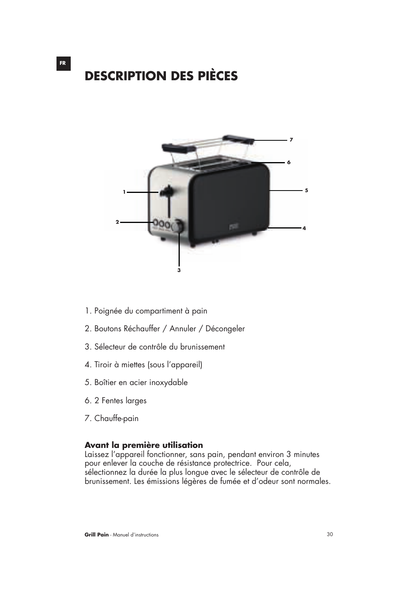## **DESCRIPTION DES PIÈCES**



- 1. Poignée du compartiment à pain
- 2. Boutons Réchauffer / Annuler / Décongeler
- 3. Sélecteur de contrôle du brunissement
- 4. Tiroir à miettes (sous l'appareil)
- 5. Boîtier en acier inoxydable
- 6. 2 Fentes larges
- 7. Chauffe-pain

#### **Avant la première utilisation**

Laissez l'appareil fonctionner, sans pain, pendant environ 3 minutes pour enlever la couche de résistance protectrice. Pour cela, sélectionnez la durée la plus longue avec le sélecteur de contrôle de brunissement. Les émissions légères de fumée et d'odeur sont normales.

**FR**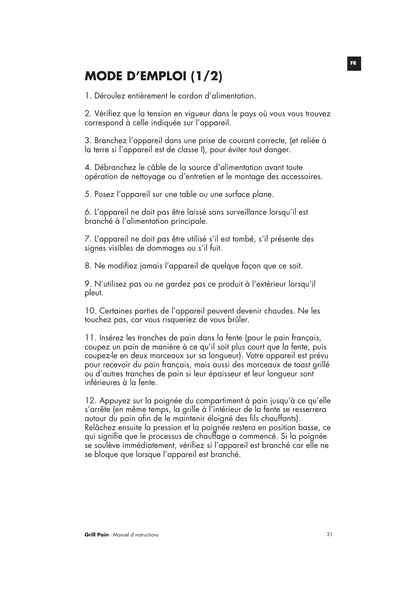### **MODE D'EMPLOI (1/2)**

1. Déroulez entièrement le cordon d'alimentation.

2. Vérifiez que la tension en vigueur dans le pays où vous vous trouvez correspond à celle indiquée sur l'appareil.

3. Branchez l'appareil dans une prise de courant correcte, (et reliée à la terre si l'appareil est de classe I), pour éviter tout danger.

4. Débranchez le câble de la source d'alimentation avant toute opération de nettoyage ou d'entretien et le montage des accessoires.

5. Posez l'appareil sur une table ou une surface plane.

6. L'appareil ne doit pas être laissé sans surveillance lorsqu'il est branché à l'alimentation principale.

7. L'appareil ne doit pas être utilisé s'il est tombé, s'il présente des signes visibles de dommages ou s'il fuit.

8. Ne modifiez jamais l'appareil de quelque façon que ce soit.

9. N'utilisez pas ou ne gardez pas ce produit à l'extérieur lorsqu'il pleut.

10. Certaines parties de l'appareil peuvent devenir chaudes. Ne les touchez pas, car vous risqueriez de vous brûler.

11. Insérez les tranches de pain dans la fente (pour le pain français, coupez un pain de manière à ce qu'il soit plus court que la fente, puis coupez-le en deux morceaux sur sa longueur). Votre appareil est prévu pour recevoir du pain français, mais aussi des morceaux de toast grillé ou d'autres tranches de pain si leur épaisseur et leur longueur sont inférieures à la fente.

12. Appuyez sur la poignée du compartiment à pain jusqu'à ce qu'elle s'arrête (en même temps, la grille à l'intérieur de la fente se resserrera autour du pain afin de le maintenir éloigné des fils chauffants). Relâchez ensuite la pression et la poignée restera en position basse, ce qui signifie que le processus de chauffage a commencé. Si la poignée se soulève immédiatement, vérifiez si l'appareil est branché car elle ne se bloque que lorsque l'appareil est branché.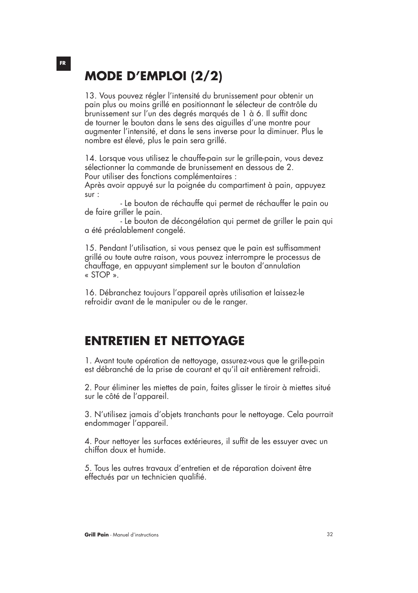## **MODE D'EMPLOI (2/2)**

13. Vous pouvez régler l'intensité du brunissement pour obtenir un pain plus ou moins grillé en positionnant le sélecteur de contrôle du brunissement sur l'un des degrés marqués de 1 à 6. Il suffit donc de tourner le bouton dans le sens des aiguilles d'une montre pour augmenter l'intensité, et dans le sens inverse pour la diminuer. Plus le nombre est élevé, plus le pain sera grillé.

14. Lorsque vous utilisez le chauffe-pain sur le grille-pain, vous devez sélectionner la commande de brunissement en dessous de 2. Pour utiliser des fonctions complémentaires :

Après avoir appuyé sur la poignée du compartiment à pain, appuyez sur :

 - Le bouton de réchauffe qui permet de réchauffer le pain ou de faire griller le pain.

 - Le bouton de décongélation qui permet de griller le pain qui a été préalablement congelé.

15. Pendant l'utilisation, si vous pensez que le pain est suffisamment grillé ou toute autre raison, vous pouvez interrompre le processus de chauffage, en appuyant simplement sur le bouton d'annulation « STOP ».

16. Débranchez toujours l'appareil après utilisation et laissez-le refroidir avant de le manipuler ou de le ranger.

### **ENTRETIEN ET NETTOYAGE**

1. Avant toute opération de nettoyage, assurez-vous que le grille-pain est débranché de la prise de courant et qu'il ait entièrement refroidi.

2. Pour éliminer les miettes de pain, faites glisser le tiroir à miettes situé sur le côté de l'appareil.

3. N'utilisez jamais d'objets tranchants pour le nettoyage. Cela pourrait endommager l'appareil.

4. Pour nettoyer les surfaces extérieures, il suffit de les essuyer avec un chiffon doux et humide.

5. Tous les autres travaux d'entretien et de réparation doivent être effectués par un technicien qualifié.

#### **FR**